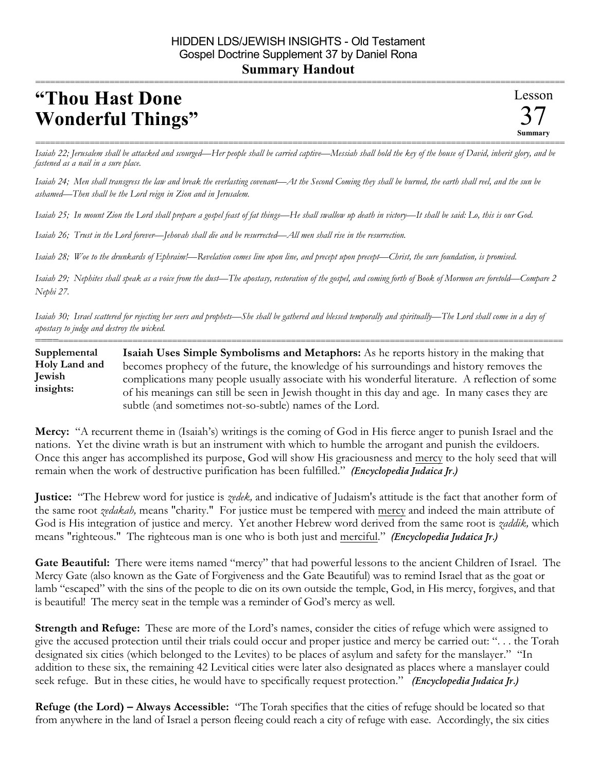## **"Thou Hast Done Wonderful Things"**

=========================================================================================================== *Isaiah 22; Jerusalem shall be attacked and scourged—Her people shall be carried captive—Messiah shall hold the key of the house of David, inherit glory, and be fastened as a nail in a sure place.*

*Isaiah 24; Men shall transgress the law and break the everlasting covenant—At the Second Coming they shall be burned, the earth shall reel, and the sun be ashamed—Then shall be the Lord reign in Zion and in Jerusalem.*

*Isaiah 25; In mount Zion the Lord shall prepare a gospel feast of fat things—He shall swallow up death in victory—It shall be said: Lo, this is our God.* 

*Isaiah 26; Trust in the Lord forever—Jehovah shall die and be resurrected—All men shall rise in the resurrection.*

*Isaiah 28; Woe to the drunkards of Ephraim!—Revelation comes line upon line, and precept upon precept—Christ, the sure foundation, is promised.* 

*Isaiah 29; Nephites shall speak as a voice from the dust—The apostasy, restoration of the gospel, and coming forth of Book of Mormon are foretold—Compare 2 Nephi 27.* 

*Isaiah 30; Israel scattered for rejecting her seers and prophets—She shall be gathered and blessed temporally and spiritually—The Lord shall come in a day of apostasy to judge and destroy the wicked.*

========================================================================================================== **Isaiah Uses Simple Symbolisms and Metaphors:** As he reports history in the making that becomes prophecy of the future, the knowledge of his surroundings and history removes the complications many people usually associate with his wonderful literature. A reflection of some of his meanings can still be seen in Jewish thought in this day and age. In many cases they are subtle (and sometimes not-so-subtle) names of the Lord. **Supplemental Holy Land and Jewish insights:**

**Mercy:** "A recurrent theme in (Isaiah's) writings is the coming of God in His fierce anger to punish Israel and the nations. Yet the divine wrath is but an instrument with which to humble the arrogant and punish the evildoers. Once this anger has accomplished its purpose, God will show His graciousness and mercy to the holy seed that will remain when the work of destructive purification has been fulfilled." *(Encyclopedia Judaica Jr.)*

**Justice:** "The Hebrew word for justice is *zedek,* and indicative of Judaism's attitude is the fact that another form of the same root *zedakah,* means "charity." For justice must be tempered with mercy and indeed the main attribute of God is His integration of justice and mercy. Yet another Hebrew word derived from the same root is *zaddik,* which means "righteous." The righteous man is one who is both just and merciful." *(Encyclopedia Judaica Jr.)*

**Gate Beautiful:** There were items named "mercy" that had powerful lessons to the ancient Children of Israel. The Mercy Gate (also known as the Gate of Forgiveness and the Gate Beautiful) was to remind Israel that as the goat or lamb "escaped" with the sins of the people to die on its own outside the temple, God, in His mercy, forgives, and that is beautiful! The mercy seat in the temple was a reminder of God's mercy as well.

**Strength and Refuge:** These are more of the Lord's names, consider the cities of refuge which were assigned to give the accused protection until their trials could occur and proper justice and mercy be carried out: ". . . the Torah designated six cities (which belonged to the Levites) to be places of asylum and safety for the manslayer." "In addition to these six, the remaining 42 Levitical cities were later also designated as places where a manslayer could seek refuge. But in these cities, he would have to specifically request protection." *(Encyclopedia Judaica Jr.)*

**Refuge (the Lord) – Always Accessible:** "The Torah specifies that the cities of refuge should be located so that from anywhere in the land of Israel a person fleeing could reach a city of refuge with ease. Accordingly, the six cities